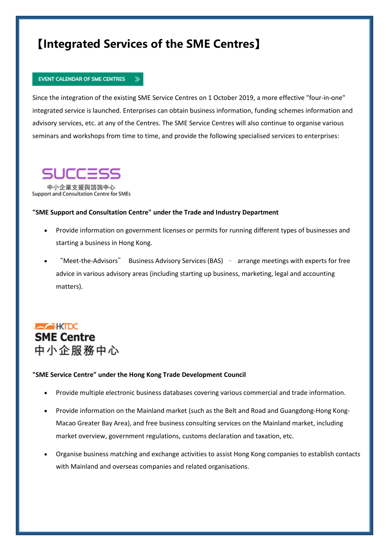### **【Integrated Services of the SME Centres】**

 $\gg$ 

#### **EVENT CALENDAR OF SME CENTRES**

Since the integration of the existing SME Service Centres on 1 October 2019, a more effective "four-in-one" integrated service is launched. Enterprises can obtain business information, funding schemes information and advisory services, etc. at any of the Centres. The SME Service Centres will also continue to organise various seminars and workshops from time to time, and provide the following specialised services to enterprises:

## JCCES

中小企業支援與諮詢中心 Support and Consultation Centre for SMEs

#### **"SME Support and Consultation Centre" under the Trade and Industry Department**

- Provide information on government licenses or permits for running different types of businesses and starting a business in Hong Kong.
- "Meet-the-Advisors" Business Advisory Services (BAS) arrange meetings with experts for free advice in various advisory areas (including starting up business, marketing, legal and accounting matters).



#### **"SME Service Centre" under the Hong Kong Trade Development Council**

- Provide multiple electronic business databases covering various commercial and trade information.
- Provide information on the Mainland market (such as the Belt and Road and Guangdong-Hong Kong-Macao Greater Bay Area), and free business consulting services on the Mainland market, including market overview, government regulations, customs declaration and taxation, etc.
- Organise business matching and exchange activities to assist Hong Kong companies to establish contacts with Mainland and overseas companies and related organisations.